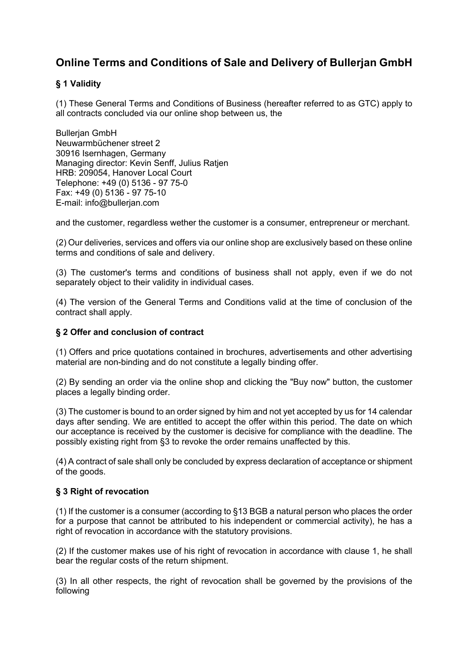# **Online Terms and Conditions of Sale and Delivery of Bullerjan GmbH**

### **§ 1 Validity**

(1) These General Terms and Conditions of Business (hereafter referred to as GTC) apply to all contracts concluded via our online shop between us, the

Bullerjan GmbH Neuwarmbüchener street 2 30916 Isernhagen, Germany Managing director: Kevin Senff, Julius Ratjen HRB: 209054, Hanover Local Court Telephone: +49 (0) 5136 - 97 75-0 Fax: +49 (0) 5136 - 97 75-10 E-mail: info@bullerjan.com

and the customer, regardless wether the customer is a consumer, entrepreneur or merchant.

(2) Our deliveries, services and offers via our online shop are exclusively based on these online terms and conditions of sale and delivery.

(3) The customer's terms and conditions of business shall not apply, even if we do not separately object to their validity in individual cases.

(4) The version of the General Terms and Conditions valid at the time of conclusion of the contract shall apply.

#### **§ 2 Offer and conclusion of contract**

(1) Offers and price quotations contained in brochures, advertisements and other advertising material are non-binding and do not constitute a legally binding offer.

(2) By sending an order via the online shop and clicking the "Buy now" button, the customer places a legally binding order.

(3) The customer is bound to an order signed by him and not yet accepted by us for 14 calendar days after sending. We are entitled to accept the offer within this period. The date on which our acceptance is received by the customer is decisive for compliance with the deadline. The possibly existing right from §3 to revoke the order remains unaffected by this.

(4) A contract of sale shall only be concluded by express declaration of acceptance or shipment of the goods.

#### **§ 3 Right of revocation**

(1) If the customer is a consumer (according to §13 BGB a natural person who places the order for a purpose that cannot be attributed to his independent or commercial activity), he has a right of revocation in accordance with the statutory provisions.

(2) If the customer makes use of his right of revocation in accordance with clause 1, he shall bear the regular costs of the return shipment.

(3) In all other respects, the right of revocation shall be governed by the provisions of the following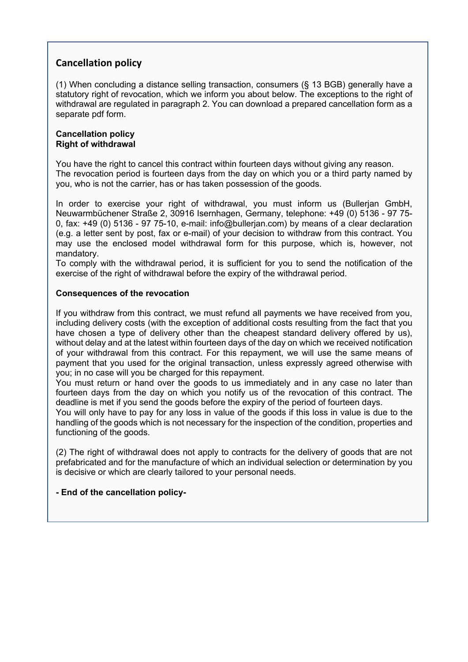## **Cancellation policy**

(1) When concluding a distance selling transaction, consumers (§ 13 BGB) generally have a statutory right of revocation, which we inform you about below. The exceptions to the right of withdrawal are regulated in paragraph 2. You can download a prepared cancellation form as a separate pdf form.

#### **Cancellation policy Right of withdrawal**

You have the right to cancel this contract within fourteen days without giving any reason. The revocation period is fourteen days from the day on which you or a third party named by you, who is not the carrier, has or has taken possession of the goods.

In order to exercise your right of withdrawal, you must inform us (Bullerjan GmbH, Neuwarmbüchener Straße 2, 30916 Isernhagen, Germany, telephone: +49 (0) 5136 - 97 75- 0, fax: +49 (0) 5136 - 97 75-10, e-mail: info@bullerjan.com) by means of a clear declaration (e.g. a letter sent by post, fax or e-mail) of your decision to withdraw from this contract. You may use the enclosed model withdrawal form for this purpose, which is, however, not mandatory.

To comply with the withdrawal period, it is sufficient for you to send the notification of the exercise of the right of withdrawal before the expiry of the withdrawal period.

#### **Consequences of the revocation**

If you withdraw from this contract, we must refund all payments we have received from you, including delivery costs (with the exception of additional costs resulting from the fact that you have chosen a type of delivery other than the cheapest standard delivery offered by us), without delay and at the latest within fourteen days of the day on which we received notification of your withdrawal from this contract. For this repayment, we will use the same means of payment that you used for the original transaction, unless expressly agreed otherwise with you; in no case will you be charged for this repayment.

You must return or hand over the goods to us immediately and in any case no later than fourteen days from the day on which you notify us of the revocation of this contract. The deadline is met if you send the goods before the expiry of the period of fourteen days.

You will only have to pay for any loss in value of the goods if this loss in value is due to the handling of the goods which is not necessary for the inspection of the condition, properties and functioning of the goods.

(2) The right of withdrawal does not apply to contracts for the delivery of goods that are not prefabricated and for the manufacture of which an individual selection or determination by you is decisive or which are clearly tailored to your personal needs.

#### **- End of the cancellation policy-**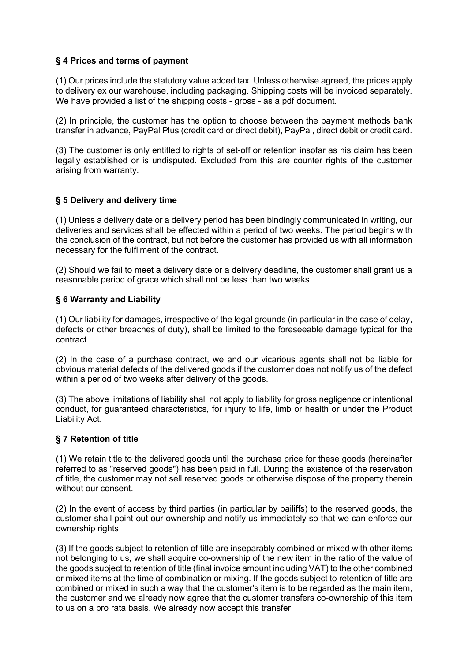#### **§ 4 Prices and terms of payment**

(1) Our prices include the statutory value added tax. Unless otherwise agreed, the prices apply to delivery ex our warehouse, including packaging. Shipping costs will be invoiced separately. We have provided a list of the shipping costs - gross - as a pdf document.

(2) In principle, the customer has the option to choose between the payment methods bank transfer in advance, PayPal Plus (credit card or direct debit), PayPal, direct debit or credit card.

(3) The customer is only entitled to rights of set-off or retention insofar as his claim has been legally established or is undisputed. Excluded from this are counter rights of the customer arising from warranty.

#### **§ 5 Delivery and delivery time**

(1) Unless a delivery date or a delivery period has been bindingly communicated in writing, our deliveries and services shall be effected within a period of two weeks. The period begins with the conclusion of the contract, but not before the customer has provided us with all information necessary for the fulfilment of the contract.

(2) Should we fail to meet a delivery date or a delivery deadline, the customer shall grant us a reasonable period of grace which shall not be less than two weeks.

#### **§ 6 Warranty and Liability**

(1) Our liability for damages, irrespective of the legal grounds (in particular in the case of delay, defects or other breaches of duty), shall be limited to the foreseeable damage typical for the contract.

(2) In the case of a purchase contract, we and our vicarious agents shall not be liable for obvious material defects of the delivered goods if the customer does not notify us of the defect within a period of two weeks after delivery of the goods.

(3) The above limitations of liability shall not apply to liability for gross negligence or intentional conduct, for guaranteed characteristics, for injury to life, limb or health or under the Product Liability Act.

#### **§ 7 Retention of title**

(1) We retain title to the delivered goods until the purchase price for these goods (hereinafter referred to as "reserved goods") has been paid in full. During the existence of the reservation of title, the customer may not sell reserved goods or otherwise dispose of the property therein without our consent.

(2) In the event of access by third parties (in particular by bailiffs) to the reserved goods, the customer shall point out our ownership and notify us immediately so that we can enforce our ownership rights.

(3) If the goods subject to retention of title are inseparably combined or mixed with other items not belonging to us, we shall acquire co-ownership of the new item in the ratio of the value of the goods subject to retention of title (final invoice amount including VAT) to the other combined or mixed items at the time of combination or mixing. If the goods subject to retention of title are combined or mixed in such a way that the customer's item is to be regarded as the main item, the customer and we already now agree that the customer transfers co-ownership of this item to us on a pro rata basis. We already now accept this transfer.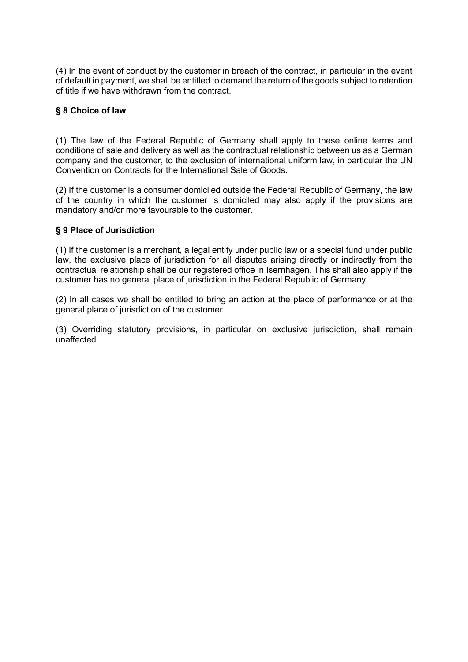(4) In the event of conduct by the customer in breach of the contract, in particular in the event of default in payment, we shall be entitled to demand the return of the goods subject to retention of title if we have withdrawn from the contract.

#### **§ 8 Choice of law**

(1) The law of the Federal Republic of Germany shall apply to these online terms and conditions of sale and delivery as well as the contractual relationship between us as a German company and the customer, to the exclusion of international uniform law, in particular the UN Convention on Contracts for the International Sale of Goods.

(2) If the customer is a consumer domiciled outside the Federal Republic of Germany, the law of the country in which the customer is domiciled may also apply if the provisions are mandatory and/or more favourable to the customer.

#### **§ 9 Place of Jurisdiction**

(1) If the customer is a merchant, a legal entity under public law or a special fund under public law, the exclusive place of jurisdiction for all disputes arising directly or indirectly from the contractual relationship shall be our registered office in Isernhagen. This shall also apply if the customer has no general place of jurisdiction in the Federal Republic of Germany.

(2) In all cases we shall be entitled to bring an action at the place of performance or at the general place of jurisdiction of the customer.

(3) Overriding statutory provisions, in particular on exclusive jurisdiction, shall remain unaffected.